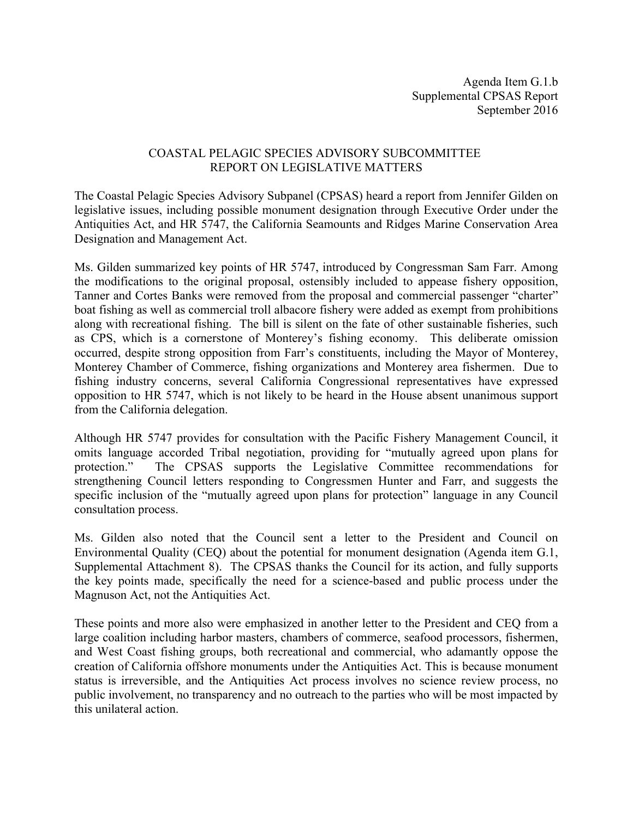## COASTAL PELAGIC SPECIES ADVISORY SUBCOMMITTEE REPORT ON LEGISLATIVE MATTERS

The Coastal Pelagic Species Advisory Subpanel (CPSAS) heard a report from Jennifer Gilden on legislative issues, including possible monument designation through Executive Order under the Antiquities Act, and HR 5747, the California Seamounts and Ridges Marine Conservation Area Designation and Management Act.

Ms. Gilden summarized key points of HR 5747, introduced by Congressman Sam Farr. Among the modifications to the original proposal, ostensibly included to appease fishery opposition, Tanner and Cortes Banks were removed from the proposal and commercial passenger "charter" boat fishing as well as commercial troll albacore fishery were added as exempt from prohibitions along with recreational fishing. The bill is silent on the fate of other sustainable fisheries, such as CPS, which is a cornerstone of Monterey's fishing economy. This deliberate omission occurred, despite strong opposition from Farr's constituents, including the Mayor of Monterey, Monterey Chamber of Commerce, fishing organizations and Monterey area fishermen. Due to fishing industry concerns, several California Congressional representatives have expressed opposition to HR 5747, which is not likely to be heard in the House absent unanimous support from the California delegation.

Although HR 5747 provides for consultation with the Pacific Fishery Management Council, it omits language accorded Tribal negotiation, providing for "mutually agreed upon plans for protection." The CPSAS supports the Legislative Committee recommendations for strengthening Council letters responding to Congressmen Hunter and Farr, and suggests the specific inclusion of the "mutually agreed upon plans for protection" language in any Council consultation process.

Ms. Gilden also noted that the Council sent a letter to the President and Council on Environmental Quality (CEQ) about the potential for monument designation (Agenda item G.1, Supplemental Attachment 8). The CPSAS thanks the Council for its action, and fully supports the key points made, specifically the need for a science-based and public process under the Magnuson Act, not the Antiquities Act.

These points and more also were emphasized in another letter to the President and CEQ from a large coalition including harbor masters, chambers of commerce, seafood processors, fishermen, and West Coast fishing groups, both recreational and commercial, who adamantly oppose the creation of California offshore monuments under the Antiquities Act. This is because monument status is irreversible, and the Antiquities Act process involves no science review process, no public involvement, no transparency and no outreach to the parties who will be most impacted by this unilateral action.